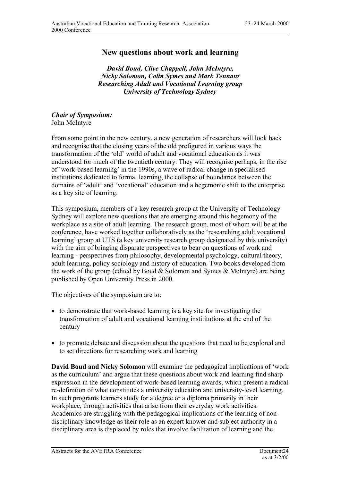## **New questions about work and learning**

*David Boud, Clive Chappell, John McIntyre, Nicky Solomon, Colin Symes and Mark Tennant Researching Adult and Vocational Learning group University of Technology Sydney*

*Chair of Symposium:* John McIntyre

From some point in the new century, a new generation of researchers will look back and recognise that the closing years of the old prefigured in various ways the transformation of the 'old' world of adult and vocational education as it was understood for much of the twentieth century. They will recognise perhaps, in the rise of 'work-based learning' in the 1990s, a wave of radical change in specialised institutions dedicated to formal learning, the collapse of boundaries between the domains of 'adult' and 'vocational' education and a hegemonic shift to the enterprise as a key site of learning.

This symposium, members of a key research group at the University of Technology Sydney will explore new questions that are emerging around this hegemony of the workplace as a site of adult learning. The research group, most of whom will be at the conference, have worked together collaboratively as the 'researching adult vocational learning' group at UTS (a key university research group designated by this university) with the aim of bringing disparate perspectives to bear on questions of work and learning - perspectives from philosophy, developmental psychology, cultural theory, adult learning, policy sociology and history of education. Two books developed from the work of the group (edited by Boud & Solomon and Symes & McIntyre) are being published by Open University Press in 2000.

The objectives of the symposium are to:

- to demonstrate that work-based learning is a key site for investigating the transformation of adult and vocational learning instititutions at the end of the century
- to promote debate and discussion about the questions that need to be explored and to set directions for researching work and learning

**David Boud and Nicky Solomon** will examine the pedagogical implications of 'work as the curriculum' and argue that these questions about work and learning find sharp expression in the development of work-based learning awards, which present a radical re-definition of what constitutes a university education and university-level learning. In such programs learners study for a degree or a diploma primarily in their workplace, through activities that arise from their everyday work activities. Academics are struggling with the pedagogical implications of the learning of nondisciplinary knowledge as their role as an expert knower and subject authority in a disciplinary area is displaced by roles that involve facilitation of learning and the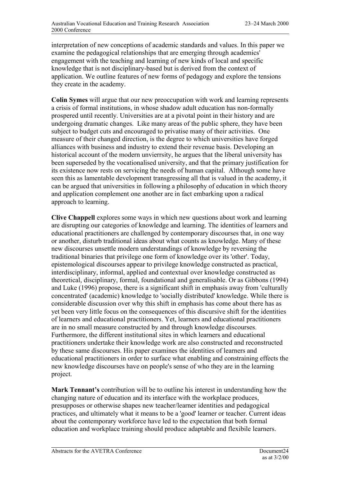interpretation of new conceptions of academic standards and values. In this paper we examine the pedagogical relationships that are emerging through academics' engagement with the teaching and learning of new kinds of local and specific knowledge that is not disciplinary-based but is derived from the context of application. We outline features of new forms of pedagogy and explore the tensions they create in the academy.

**Colin Symes** will argue that our new preoccupation with work and learning represents a crisis of formal institutions, in whose shadow adult education has non-formally prospered until recently. Universities are at a pivotal point in their history and are undergoing dramatic changes. Like many areas of the public sphere, they have been subject to budget cuts and encouraged to privatise many of their activities. One measure of their changed direction, is the degree to which universities have forged alliances with business and industry to extend their revenue basis. Developing an historical account of the modern unvierrsity, he argues that the liberal university has been superseded by the vocationalised university, and that the primary justification for its existence now rests on servicing the needs of human capital. Although some have seen this as lamentable development transgressing all that is valued in the academy, it can be argued that universities in following a philosophy of education in which theory and application complement one another are in fact embarking upon a radical approach to learning.

**Clive Chappell** explores some ways in which new questions about work and learning are disrupting our categories of knowledge and learning. The identities of learners and educational practitioners are challenged by contemporary discourses that, in one way or another, disturb traditional ideas about what counts as knowledge. Many of these new discourses unsettle modern understandings of knowledge by reversing the traditional binaries that privilege one form of knowledge over its 'other'. Today, epistemological discourses appear to privilege knowledge constructed as practical, interdisciplinary, informal, applied and contextual over knowledge constructed as theoretical, disciplinary, formal, foundational and generalisable. Or as Gibbons (1994) and Luke (1996) propose, there is a significant shift in emphasis away from 'culturally concentrated' (academic) knowledge to 'socially distributed' knowledge. While there is considerable discussion over why this shift in emphasis has come about there has as yet been very little focus on the consequences of this discursive shift for the identities of learners and educational practitioners. Yet, learners and educational practitioners are in no small measure constructed by and through knowledge discourses. Furthermore, the different institutional sites in which learners and educational practitioners undertake their knowledge work are also constructed and reconstructed by these same discourses. His paper examines the identities of learners and educational practitioners in order to surface what enabling and constraining effects the new knowledge discourses have on people's sense of who they are in the learning project.

**Mark Tennant's** contribution will be to outline his interest in understanding how the changing nature of education and its interface with the workplace produces, presupposes or otherwise shapes new teacher/learner identities and pedagogical practices, and ultimately what it means to be a 'good' learner or teacher. Current ideas about the contemporary workforce have led to the expectation that both formal education and workplace training should produce adaptable and flexibile learners.